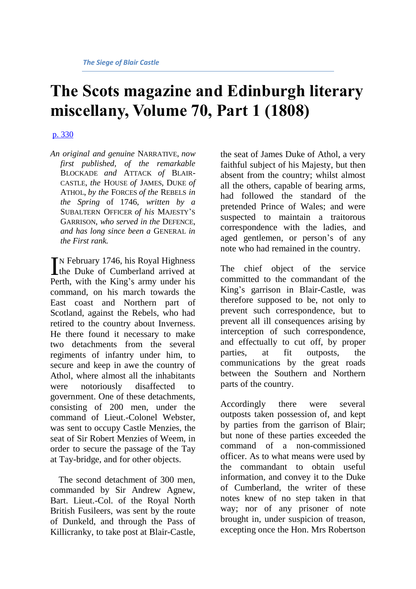# **The Scots magazine and Edinburgh literary miscellany, Volume 70, Part 1 (1808)**

## [p. 330](http://books.google.com/books?id=pBIbAAAAYAAJ&dq=SIEGE%20blair%20castle%20duke%20atholl&pg=PA330#v=onepage&q&f=false)

*An original and genuine* NARRATIVE, *now first published, of the remarkable*  BLOCKADE *and* ATTACK *of* BLAIR-CASTLE, *the* HOUSE *of* JAMES, DUKE *of*  ATHOL, *by the* FORCES *of the* REBELS *in the Spring* of 1746, *written by a*  SUBALTERN OFFICER *of his* MAJESTY'S GARRISON, *who served in the* DEFENCE, *and has long since been a* GENERAL *in the First rank.*

N February 1746, his Royal Highness IN February 1746, his Royal Highness<br>the Duke of Cumberland arrived at Perth, with the King's army under his command, on his march towards the East coast and Northern part of Scotland, against the Rebels, who had retired to the country about Inverness. He there found it necessary to make two detachments from the several regiments of infantry under him, to secure and keep in awe the country of Athol, where almost all the inhabitants were notoriously disaffected to government. One of these detachments, consisting of 200 men, under the command of Lieut.-Colonel Webster, was sent to occupy Castle Menzies, the seat of Sir Robert Menzies of Weem, in order to secure the passage of the Tay at Tay-bridge, and for other objects.

The second detachment of 300 men, commanded by Sir Andrew Agnew, Bart. Lieut.-Col. of the Royal North British Fusileers, was sent by the route of Dunkeld, and through the Pass of Killicranky, to take post at Blair-Castle, the seat of James Duke of Athol, a very faithful subject of his Majesty, but then absent from the country; whilst almost all the others, capable of bearing arms, had followed the standard of the pretended Prince of Wales; and were suspected to maintain a traitorous correspondence with the ladies, and aged gentlemen, or person's of any note who had remained in the country.

The chief object of the service committed to the commandant of the King's garrison in Blair-Castle, was therefore supposed to be, not only to prevent such correspondence, but to prevent all ill consequences arising by interception of such correspondence, and effectually to cut off, by proper parties, at fit outposts, the communications by the great roads between the Southern and Northern parts of the country.

Accordingly there were several outposts taken possession of, and kept by parties from the garrison of Blair; but none of these parties exceeded the command of a non-commissioned officer. As to what means were used by the commandant to obtain useful information, and convey it to the Duke of Cumberland, the writer of these notes knew of no step taken in that way; nor of any prisoner of note brought in, under suspicion of treason, excepting once the Hon. Mrs Robertson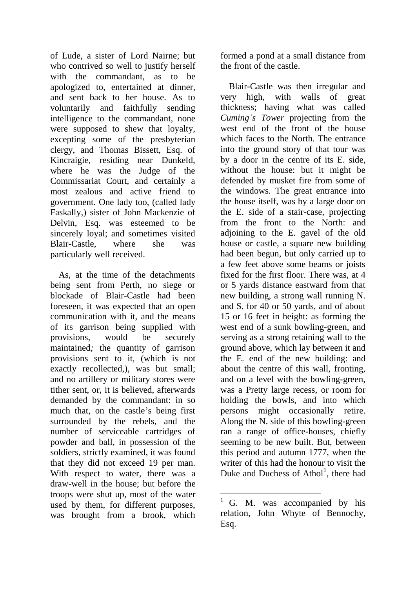of Lude, a sister of Lord Nairne; but who contrived so well to justify herself with the commandant, as to be apologized to, entertained at dinner, and sent back to her house. As to voluntarily and faithfully sending intelligence to the commandant, none were supposed to shew that loyalty, excepting some of the presbyterian clergy, and Thomas Bissett, Esq. of Kincraigie, residing near Dunkeld, where he was the Judge of the Commissariat Court, and certainly a most zealous and active friend to government. One lady too, (called lady Faskally,) sister of John Mackenzie of Delvin, Esq. was esteemed to be sincerely loyal; and sometimes visited Blair-Castle, where she was particularly well received.

As, at the time of the detachments being sent from Perth, no siege or blockade of Blair-Castle had been foreseen, it was expected that an open communication with it, and the means of its garrison being supplied with provisions, would be securely maintained*;* the quantity of garrison provisions sent to it, (which is not exactly recollected,), was but small; and no artillery or military stores were tither sent, or, it is believed, afterwards demanded by the commandant: in so much that, on the castle's being first surrounded by the rebels, and the number of serviceable cartridges of powder and ball, in possession of the soldiers, strictly examined, it was found that they did not exceed 19 per man. With respect to water, there was a draw-well in the house; but before the troops were shut up, most of the water used by them, for different purposes, was brought from a brook, which formed a pond at a small distance from the front of the castle.

Blair-Castle was then irregular and very high, with walls of great thickness; having what was called *Cuming's Tower* projecting from the west end of the front of the house which faces to the North. The entrance into the ground story of that tour was by a door in the centre of its E. side, without the house: but it might be defended by musket fire from some of the windows. The great entrance into the house itself, was by a large door on the E. side of a stair-case, projecting from the front to the North: and adjoining to the E. gavel of the old house or castle, a square new building had been begun, but only carried up to a few feet above some beams or joists fixed for the first floor. There was, at 4 or 5 yards distance eastward from that new building, a strong wall running N. and S. for 40 or 50 yards, and of about 15 or 16 feet in height: as forming the west end of a sunk bowling-green, and serving as a strong retaining wall to the ground above, which lay between it and the E. end of the new building: and about the centre of this wall, fronting, and on a level with the bowling-green, was a Pretty large recess, or room for holding the bowls, and into which persons might occasionally retire. Along the N. side of this bowling-green ran a range of office-houses, chiefly seeming to be new built. But, between this period and autumn 1777, when the writer of this had the honour to visit the Duke and Duchess of Athol<sup>1</sup>, there had

1

<sup>1</sup> G. M. was accompanied by his relation, John Whyte of Bennochy, Esq.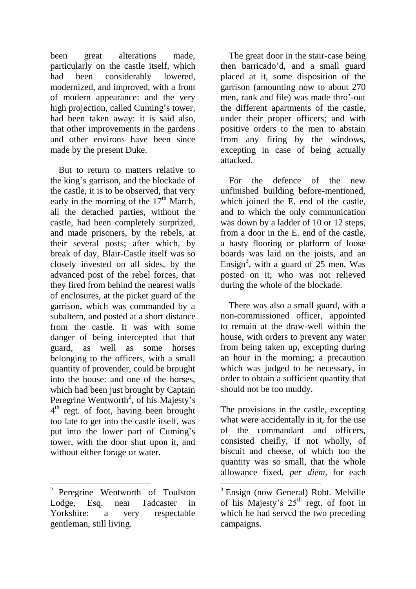been great alterations made, particularly on the castle itself, which had been considerably lowered, modernized, and improved, with a front of modern appearance: and the very high projection, called Cuming's tower, had been taken away: it is said also, that other improvements in the gardens and other environs have been since made by the present Duke.

But to return to matters relative to the king's garrison, and the blockade of the castle, it is to be observed, that very early in the morning of the  $17<sup>th</sup>$  March, all the detached parties, without the castle, had been completely surprized, and made prisoners, by the rebels, at their several posts; after which, by break of day, Blair-Castle itself was so closely invested on all sides, by the advanced post of the rebel forces, that they fired from behind the nearest walls of enclosures, at the picket guard of the garrison, which was commanded by a subaltern, and posted at a short distance from the castle. It was with some danger of being intercepted that that guard, as well as some horses belonging to the officers, with a small quantity of provender, could be brought into the house: and one of the horses, which had been just brought by Captain Peregrine Wentworth<sup>2</sup>, of his Majesty's  $4<sup>th</sup>$  regt. of foot, having been brought too late to get into the castle itself, was put into the lower part of Cuming's tower, with the door shut upon it, and without either forage or water.

1

The great door in the stair-case being then barricado'd, and a small guard placed at it, some disposition of the garrison (amounting now to about 270 men, rank and file) was made thro'-out the different apartments of the castle, under their proper officers; and with positive orders to the men to abstain from any firing by the windows, excepting in case of being actually attacked.

For the defence of the new unfinished building before-mentioned, which joined the E. end of the castle, and to which the only communication was down by a ladder of 10 or 12 steps, from a door in the E. end of the castle, a hasty flooring or platform of loose boards was laid on the joists, and an Ensign<sup>3</sup>, with a guard of  $25$  men, Was posted on it; who was not relieved during the whole of the blockade.

There was also a small guard, with a non-commissioned officer, appointed to remain at the draw-well within the house, with orders to prevent any water from being taken up, excepting during an hour in the morning; a precaution which was judged to be necessary, in order to obtain a sufficient quantity that should not be too muddy.

The provisions in the castle, excepting what were accidentally in it, for the use of the commandant and officers, consisted cheifly, if not wholly, of biscuit and cheese, of which too the quantity was so small, that the whole allowance fixed, *per diem,* for each

 $\overline{a}$ 

<sup>&</sup>lt;sup>2</sup> Peregrine Wentworth of Toulston Lodge, Esq. near Tadcaster in Yorkshire: a very respectable gentleman, still living.

<sup>&</sup>lt;sup>3</sup> Ensign (now General) Robt. Melville of his Majesty's  $25<sup>th</sup>$  regt. of foot in which he had servcd the two preceding campaigns.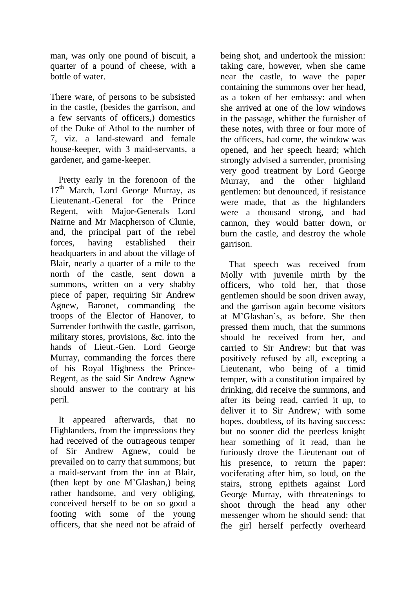man, was only one pound of biscuit, a quarter of a pound of cheese, with a bottle of water.

There ware, of persons to be subsisted in the castle, (besides the garrison, and a few servants of officers,) domestics of the Duke of Athol to the number of 7, viz. a land-steward and female house-keeper, with 3 maid-servants, a gardener, and game-keeper.

Pretty early in the forenoon of the  $17<sup>th</sup>$  March, Lord George Murray, as Lieutenant.-General for the Prince Regent, with Major-Generals Lord Nairne and Mr Macpherson of Clunie, and, the principal part of the rebel forces, having established their headquarters in and about the village of Blair, nearly a quarter of a mile to the north of the castle, sent down a summons, written on a very shabby piece of paper, requiring Sir Andrew Agnew, Baronet, commanding the troops of the Elector of Hanover, to Surrender forthwith the castle, garrison, military stores, provisions, &c. into the hands of Lieut.-Gen. Lord George Murray, commanding the forces there of his Royal Highness the Prince-Regent, as the said Sir Andrew Agnew should answer to the contrary at his peril.

It appeared afterwards, that no Highlanders, from the impressions they had received of the outrageous temper of Sir Andrew Agnew, could be prevailed on to carry that summons; but a maid-servant from the inn at Blair, (then kept by one M'Glashan,) being rather handsome, and very obliging, conceived herself to be on so good a footing with some of the young officers, that she need not be afraid of being shot, and undertook the mission: taking care, however, when she came near the castle, to wave the paper containing the summons over her head, as a token of her embassy: and when she arrived at one of the low windows in the passage, whither the furnisher of these notes, with three or four more of the officers, had come, the window was opened, and her speech heard; which strongly advised a surrender, promising very good treatment by Lord George Murray, and the other highland gentlemen: but denounced, if resistance were made, that as the highlanders were a thousand strong, and had cannon, they would batter down, or burn the castle, and destroy the whole garrison.

That speech was received from Molly with juvenile mirth by the officers, who told her, that those gentlemen should be soon driven away, and the garrison again become visitors at M'Glashan's, as before. She then pressed them much, that the summons should be received from her, and carried to Sir Andrew: but that was positively refused by all, excepting a Lieutenant, who being of a timid temper, with a constitution impaired by drinking, did receive the summons, and after its being read, carried it up, to deliver it to Sir Andrew*;* with some hopes, doubtless, of its having success: but no sooner did the peerless knight hear something of it read, than he furiously drove the Lieutenant out of his presence, to return the paper: vociferating after him, so loud, on the stairs, strong epithets against Lord George Murray, with threatenings to shoot through the head any other messenger whom he should send: that fhe girl herself perfectly overheard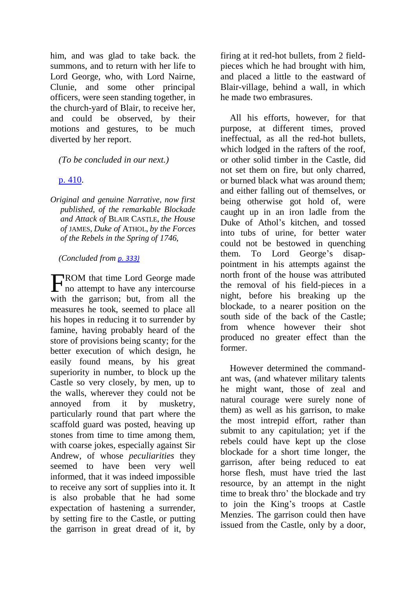him, and was glad to take back. the summons, and to return with her life to Lord George, who, with Lord Nairne, Clunie, and some other principal officers, were seen standing together, in the church-yard of Blair, to receive her, and could be observed, by their motions and gestures, to be much diverted by her report.

#### *(To be concluded in our next.)*

### [p. 410.](http://books.google.com/books?id=pBIbAAAAYAAJ&dq=SIEGE%20blair%20castle%20duke%20atholl&pg=PA410#v=onepage&q&f=false)

*Original and genuine Narrative, now first published, of the remarkable Blockade and Attack of* BLAIR CASTLE, *the House of* JAMES, *Duke of* ATHOL, *by the Forces of the Rebels in the Spring of 1746,*

#### *(Concluded from [p. 333\)](http://books.google.com/books?id=pBIbAAAAYAAJ&dq=SIEGE%20blair%20castle%20duke%20atholl&pg=PA333#v=onepage&q&f=false)*

FROM that time Lord George made<br>no attempt to have any intercourse no attempt to have any intercourse with the garrison; but, from all the measures he took, seemed to place all his hopes in reducing it to surrender by famine, having probably heard of the store of provisions being scanty; for the better execution of which design, he easily found means, by his great superiority in number, to block up the Castle so very closely, by men, up to the walls, wherever they could not be annoyed from it by musketry, particularly round that part where the scaffold guard was posted, heaving up stones from time to time among them, with coarse jokes, especially against Sir Andrew, of whose *peculiarities* they seemed to have been very well informed, that it was indeed impossible to receive any sort of supplies into it. It is also probable that he had some expectation of hastening a surrender, by setting fire to the Castle, or putting the garrison in great dread of it, by firing at it red-hot bullets, from 2 fieldpieces which he had brought with him, and placed a little to the eastward of Blair-village, behind a wall, in which he made two embrasures.

All his efforts, however, for that purpose, at different times, proved ineffectual, as all the red-hot bullets, which lodged in the rafters of the roof, or other solid timber in the Castle, did not set them on fire, but only charred, or burned black what was around them; and either falling out of themselves, or being otherwise got hold of, were caught up in an iron ladle from the Duke of Athol's kitchen, and tossed into tubs of urine, for better water could not be bestowed in quenching them. To Lord George's disappointment in his attempts against the north front of the house was attributed the removal of his field-pieces in a night, before his breaking up the blockade, to a nearer position on the south side of the back of the Castle; from whence however their shot produced no greater effect than the former.

However determined the commandant was, (and whatever military talents he might want, those of zeal and natural courage were surely none of them) as well as his garrison, to make the most intrepid effort, rather than submit to any capitulation; yet if the rebels could have kept up the close blockade for a short time longer, the garrison, after being reduced to eat horse flesh, must have tried the last resource, by an attempt in the night time to break thro' the blockade and try to join the King's troops at Castle Menzies. The garrison could then have issued from the Castle, only by a door,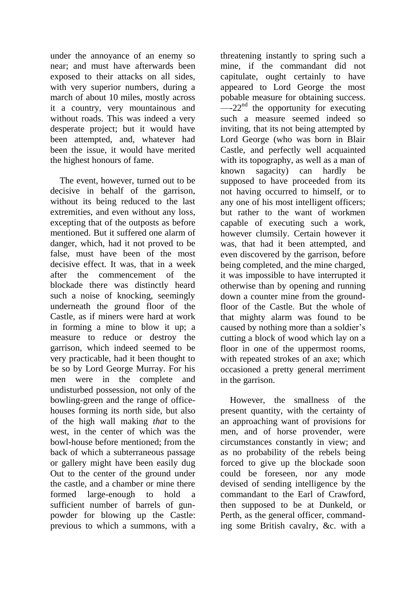under the annoyance of an enemy so near; and must have afterwards been exposed to their attacks on all sides, with very superior numbers, during a march of about 10 miles, mostly across it a country, very mountainous and without roads. This was indeed a very desperate project; but it would have been attempted, and, whatever had been the issue, it would have merited the highest honours of fame.

The event, however, turned out to be decisive in behalf of the garrison, without its being reduced to the last extremities, and even without any loss, excepting that of the outposts as before mentioned. But it suffered one alarm of danger, which, had it not proved to be false, must have been of the most decisive effect. It was, that in a week after the commencement of the blockade there was distinctly heard such a noise of knocking, seemingly underneath the ground floor of the Castle, as if miners were hard at work in forming a mine to blow it up; a measure to reduce or destroy the garrison, which indeed seemed to be very practicable, had it been thought to be so by Lord George Murray. For his men were in the complete and undisturbed possession, not only of the bowling-green and the range of officehouses forming its north side, but also of the high wall making *that* to the west, in the center of which was the bowl-house before mentioned; from the back of which a subterraneous passage or gallery might have been easily dug Out to the center of the ground under the castle, and a chamber or mine there formed large-enough to hold a sufficient number of barrels of gunpowder for blowing up the Castle: previous to which a summons, with a

threatening instantly to spring such a mine, if the commandant did not capitulate, ought certainly to have appeared to Lord George the most pobable measure for obtaining success.  $\frac{1}{2}$  the opportunity for executing such a measure seemed indeed so inviting, that its not being attempted by Lord George (who was born in Blair Castle, and perfectly well acquainted with its topography, as well as a man of known sagacity) can hardly be supposed to have proceeded from its not having occurred to himself, or to any one of his most intelligent officers; but rather to the want of workmen capable of executing such a work, however clumsily. Certain however it was, that had it been attempted, and even discovered by the garrison, before being completed, and the mine charged, it was impossible to have interrupted it otherwise than by opening and running down a counter mine from the groundfloor of the Castle. But the whole of that mighty alarm was found to be caused by nothing more than a soldier's cutting a block of wood which lay on a floor in one of the uppermost rooms, with repeated strokes of an axe; which occasioned a pretty general merriment in the garrison.

However, the smallness of the present quantity, with the certainty of an approaching want of provisions for men, and of horse provender, were circumstances constantly in view; and as no probability of the rebels being forced to give up the blockade soon could be foreseen, nor any mode devised of sending intelligence by the commandant to the Earl of Crawford, then supposed to be at Dunkeld, or Perth, as the general officer, commanding some British cavalry, &c. with a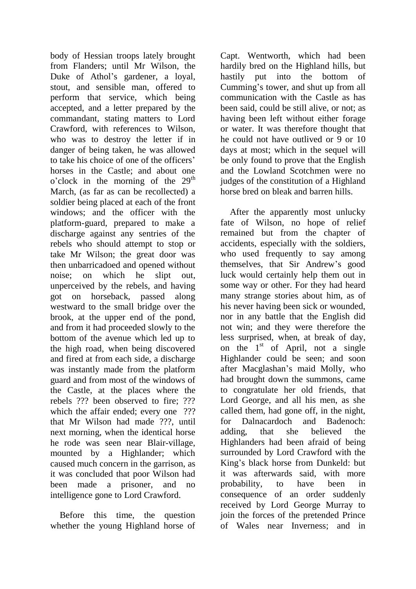body of Hessian troops lately brought from Flanders; until Mr Wilson, the Duke of Athol's gardener, a loyal, stout, and sensible man, offered to perform that service, which being accepted, and a letter prepared by the commandant, stating matters to Lord Crawford, with references to Wilson, who was to destroy the letter if in danger of being taken, he was allowed to take his choice of one of the officers' horses in the Castle; and about one  $o$ 'clock in the morning of the  $29<sup>th</sup>$ March, (as far as can be recollected) a soldier being placed at each of the front windows; and the officer with the platform-guard, prepared to make a discharge against any sentries of the rebels who should attempt to stop or take Mr Wilson; the great door was then unbarricadoed and opened without noise; on which he slipt out, unperceived by the rebels, and having got on horseback, passed along westward to the small bridge over the brook, at the upper end of the pond, and from it had proceeded slowly to the bottom of the avenue which led up to the high road, when being discovered and fired at from each side, a discharge was instantly made from the platform guard and from most of the windows of the Castle, at the places where the rebels ??? been observed to fire; ??? which the affair ended; every one ??? that Mr Wilson had made ???, until next morning, when the identical horse he rode was seen near Blair-village, mounted by a Highlander; which caused much concern in the garrison, as it was concluded that poor Wilson had been made a prisoner, and no intelligence gone to Lord Crawford.

Before this time, the question whether the young Highland horse of Capt. Wentworth, which had been hardily bred on the Highland hills, but hastily put into the bottom of Cumming's tower, and shut up from all communication with the Castle as has been said, could be still alive, or not; as having been left without either forage or water. It was therefore thought that he could not have outlived or 9 or 10 days at most; which in the sequel will be only found to prove that the English and the Lowland Scotchmen were no judges of the constitution of a Highland horse bred on bleak and barren hills.

After the apparently most unlucky fate of Wilson, no hope of relief remained but from the chapter of accidents, especially with the soldiers, who used frequently to say among themselves, that Sir Andrew's good luck would certainly help them out in some way or other. For they had heard many strange stories about him, as of his never having been sick or wounded, nor in any battle that the English did not win; and they were therefore the less surprised, when, at break of day, on the  $1<sup>st</sup>$  of April, not a single Highlander could be seen; and soon after Macglashan's maid Molly, who had brought down the summons, came to congratulate her old friends, that Lord George, and all his men, as she called them, had gone off, in the night, for Dalnacardoch and Badenoch: adding, that she believed the Highlanders had been afraid of being surrounded by Lord Crawford with the King's black horse from Dunkeld: but it was afterwards said, with more probability, to have been in consequence of an order suddenly received by Lord George Murray to join the forces of the pretended Prince of Wales near Inverness; and in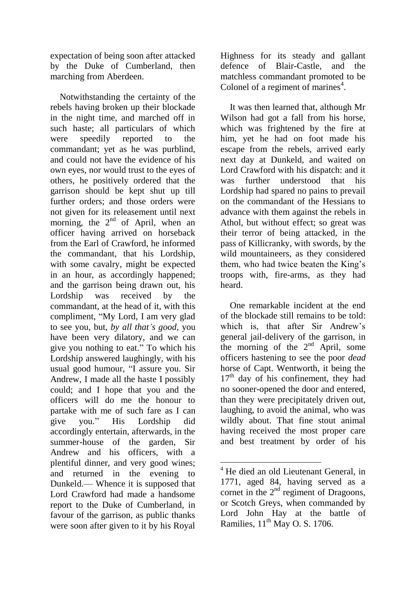expectation of being soon after attacked by the Duke of Cumberland, then marching from Aberdeen.

Notwithstanding the certainty of the rebels having broken up their blockade in the night time, and marched off in such haste; all particulars of which were speedily reported to the commandant; yet as he was purblind, and could not have the evidence of his own eyes, nor would trust to the eyes of others, he positively ordered that the garrison should be kept shut up till further orders; and those orders were not given for its releasement until next morning, the  $2<sup>nd</sup>$  of April, when an officer having arrived on horseback from the Earl of Crawford, he informed the commandant, that his Lordship, with some cavalry, might be expected in an hour, as accordingly happened; and the garrison being drawn out, his Lordship was received by the commandant, at the head of it, with this compliment, "My Lord, I am very glad to see you, but, *by all that's good,* you have been very dilatory, and we can give you nothing to eat." To which his Lordship answered laughingly, with his usual good humour, "I assure you. Sir Andrew, I made all the haste I possibly could; and I hope that you and the officers will do me the honour to partake with me of such fare as I can give you." His Lordship did accordingly entertain, afterwards, in the summer-house of the garden, Sir Andrew and his officers, with a plentiful dinner, and very good wines; and returned in the evening to Dunkeld.— Whence it is supposed that Lord Crawford had made a handsome report to the Duke of Cumberland, in favour of the garrison, as public thanks were soon after given to it by his Royal

Highness for its steady and gallant defence of Blair-Castle, and the matchless commandant promoted to be Colonel of a regiment of marines<sup>4</sup>.

It was then learned that, although Mr Wilson had got a fall from his horse, which was frightened by the fire at him, yet he had on foot made his escape from the rebels, arrived early next day at Dunkeld, and waited on Lord Crawford with his dispatch: and it was further understood that his Lordship had spared no pains to prevail on the commandant of the Hessians to advance with them against the rebels in Athol, but without effect; so great was their terror of being attacked, in the pass of Killicranky, with swords, by the wild mountaineers, as they considered them, who had twice beaten the King's troops with, fire-arms, as they had heard.

One remarkable incident at the end of the blockade still remains to be told: which is, that after Sir Andrew's general jail-delivery of the garrison, in the morning of the  $2<sup>nd</sup>$  April, some officers hastening to see the poor *dead*  horse of Capt. Wentworth, it being the  $17<sup>th</sup>$  day of his confinement, they had no sooner-opened the door and entered, than they were precipitately driven out, laughing, to avoid the animal, who was wildly about. That fine stout animal having received the most proper care and best treatment by order of his

1

<sup>&</sup>lt;sup>4</sup> He died an old Lieutenant General, in 1771, aged 84, having served as a cornet in the  $2<sup>nd</sup>$  regiment of Dragoons, or Scotch Greys, when commanded by Lord John Hay at the battle of Ramilies,  $11<sup>th</sup>$  May O. S. 1706.